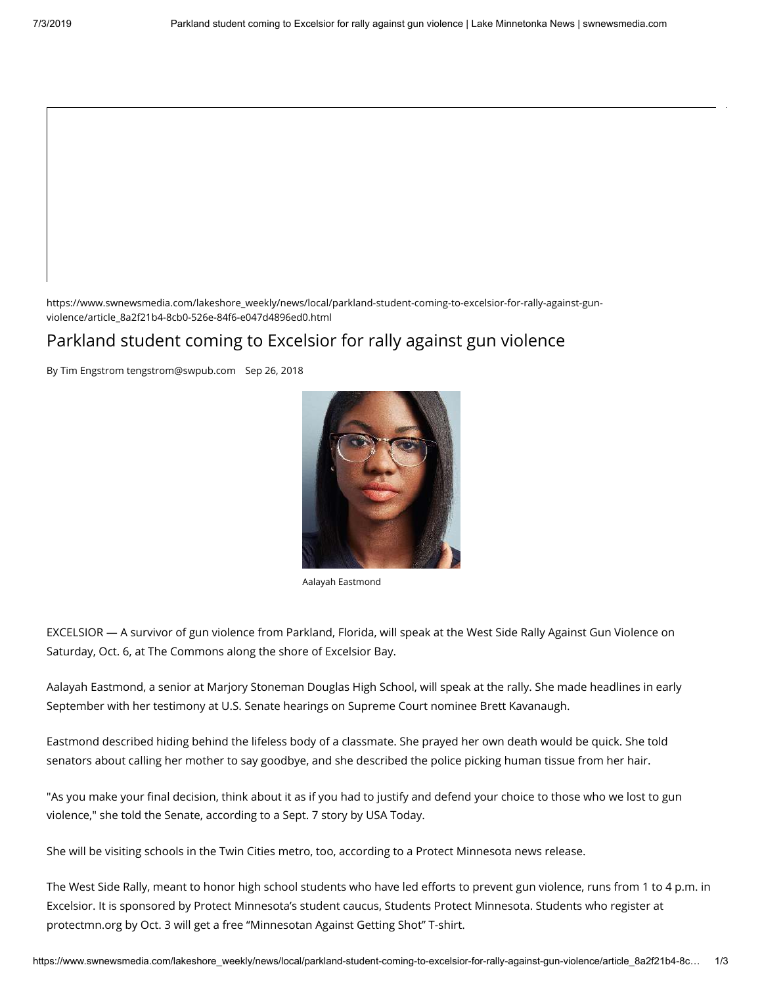https://www.swnewsmedia.com/lakeshore\_weekly/news/local/parkland-student-coming-to-excelsior-for-rally-against-gunviolence/article\_8a2f21b4-8cb0-526e-84f6-e047d4896ed0.html

### Parkland student coming to Excelsior for rally against gun violence

By Tim Engstrom tengstrom@swpub.com Sep 26, 2018



Aalayah Eastmond

EXCELSIOR — A survivor of gun violence from Parkland, Florida, will speak at the West Side Rally Against Gun Violence on Saturday, Oct. 6, at The Commons along the shore of Excelsior Bay.

Aalayah Eastmond, a senior at Marjory Stoneman Douglas High School, will speak at the rally. She made headlines in early September with her testimony at U.S. Senate hearings on Supreme Court nominee Brett Kavanaugh.

Eastmond described hiding behind the lifeless body of a classmate. She prayed her own death would be quick. She told senators about calling her mother to say goodbye, and she described the police picking human tissue from her hair.

"As you make your final decision, think about it as if you had to justify and defend your choice to those who we lost to gun violence," she told the Senate, according to a Sept. 7 story by USA Today.

She will be visiting schools in the Twin Cities metro, too, according to a Protect Minnesota news release.

The West Side Rally, meant to honor high school students who have led efforts to prevent gun violence, runs from 1 to 4 p.m. in Excelsior. It is sponsored by Protect Minnesota's student caucus, Students Protect Minnesota. Students who register at [protectmn.org](http://protectmn.org/) by Oct. 3 will get a free "Minnesotan Against Getting Shot" T-shirt.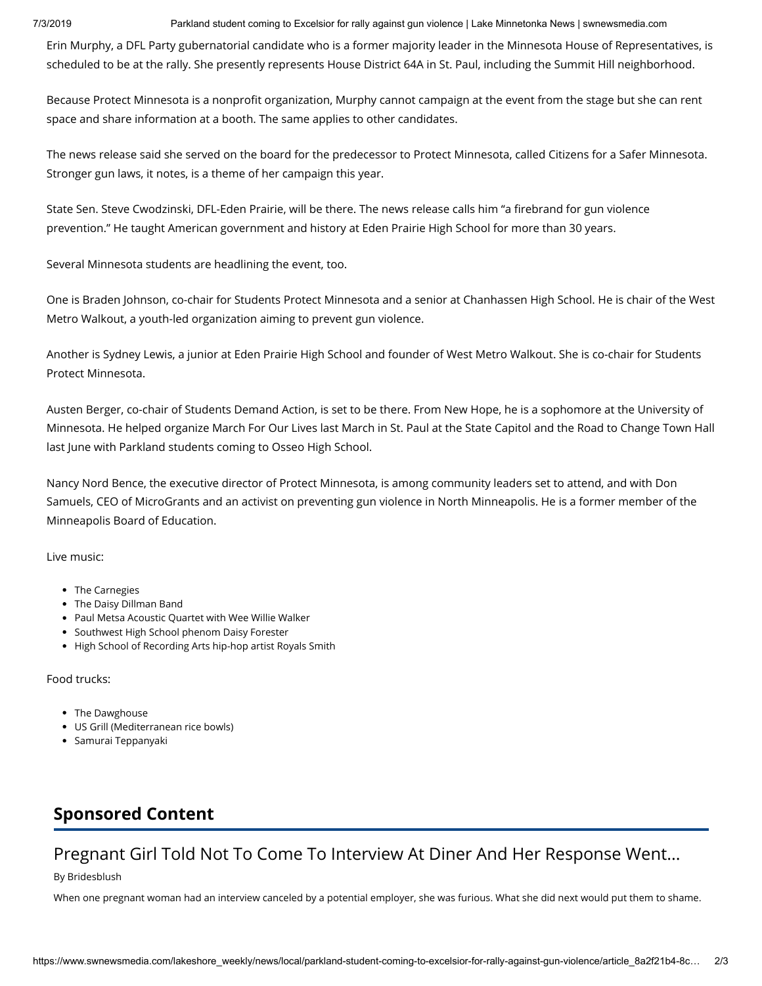7/3/2019 Parkland student coming to Excelsior for rally against gun violence | Lake Minnetonka News | swnewsmedia.com

Erin Murphy, a DFL Party gubernatorial candidate who is a former majority leader in the Minnesota House of Representatives, is scheduled to be at the rally. She presently represents House District 64A in St. Paul, including the Summit Hill neighborhood.

Because Protect Minnesota is a nonprofit organization, Murphy cannot campaign at the event from the stage but she can rent space and share information at a booth. The same applies to other candidates.

The news release said she served on the board for the predecessor to Protect Minnesota, called Citizens for a Safer Minnesota. Stronger gun laws, it notes, is a theme of her campaign this year.

State Sen. Steve Cwodzinski, DFL-Eden Prairie, will be there. The news release calls him "a firebrand for gun violence prevention." He taught American government and history at Eden Prairie High School for more than 30 years.

Several Minnesota students are headlining the event, too.

One is Braden Johnson, co-chair for Students Protect Minnesota and a senior at Chanhassen High School. He is chair of the West Metro Walkout, a youth-led organization aiming to prevent gun violence.

Another is Sydney Lewis, a junior at Eden Prairie High School and founder of West Metro Walkout. She is co-chair for Students Protect Minnesota.

Austen Berger, co-chair of Students Demand Action, is set to be there. From New Hope, he is a sophomore at the University of Minnesota. He helped organize March For Our Lives last March in St. Paul at the State Capitol and the Road to Change Town Hall last June with Parkland students coming to Osseo High School.

Nancy Nord Bence, the executive director of Protect Minnesota, is among community leaders set to attend, and with Don Samuels, CEO of MicroGrants and an activist on preventing gun violence in North Minneapolis. He is a former member of the Minneapolis Board of Education.

Live music:

- The Carnegies
- The Daisy Dillman Band
- Paul Metsa Acoustic Quartet with Wee Willie Walker
- Southwest High School phenom Daisy Forester
- High School of Recording Arts hip-hop artist Royals Smith

Food trucks:

- The Dawghouse
- US Grill (Mediterranean rice bowls)
- Samurai Teppanyaki

# **[Sponsored Content](https://jadserve.postrelease.com/trk?ntv_at=3&ntv_ui=9204f6f6-da87-4fd7-bfea-32c100b7dfa2&ntv_a=jhcFAXm85A9zYLA&ntv_fl=y_hvhZFBftqYYcX1DuA9NbFP5FJcpSaCSHcSFoJA5CjvH_9rE1xRVKXpUUbEu8hNILPWQ7HTRRXjE22M7xdo1w==&ord=429320007&ntv_ht=05kcXQA&ntv_tad=16&ntv_az=F37KVCi_IdEJxpu4&ntv_al=73Rbje90W4w=&ntv_ak=M-R31nOtd9Yz5HfW&prx_referrer=https%3A%2F%2Fwww.google.com%2F&ntv_r=http://70ckkfdk.bridesblush.com/inspiration/pregnant-woman-job-fb/?utm_campaign=LAB%20Pregnant%20Job%20-%20Desktop%20USA%20NA&utm_source=nativo&utm_medium=WC)**

## [Pregnant Girl Told Not To Come To Interview At Diner And Her Response Went...](https://jadserve.postrelease.com/trk?ntv_at=3&ntv_ui=9204f6f6-da87-4fd7-bfea-32c100b7dfa2&ntv_a=jhcFAXm85A9zYLA&ntv_fl=y_hvhZFBftqYYcX1DuA9NbFP5FJcpSaCSHcSFoJA5CjvH_9rE1xRVKXpUUbEu8hNILPWQ7HTRRXjE22M7xdo1w==&ord=429320007&ntv_ht=05kcXQA&ntv_tad=16&ntv_az=F37KVCi_IdEJxpu4&ntv_al=73Rbje90W4w=&ntv_ak=M-R31nOtd9Yz5HfW&prx_referrer=https%3A%2F%2Fwww.google.com%2F&ntv_r=http://70ckkfdk.bridesblush.com/inspiration/pregnant-woman-job-fb/?utm_campaign=LAB%20Pregnant%20Job%20-%20Desktop%20USA%20NA&utm_source=nativo&utm_medium=WC)

By [Bridesblush](https://jadserve.postrelease.com/trk?ntv_at=3&ntv_ui=9204f6f6-da87-4fd7-bfea-32c100b7dfa2&ntv_a=jhcFAXm85A9zYLA&ntv_fl=y_hvhZFBftqYYcX1DuA9NbFP5FJcpSaCSHcSFoJA5CjvH_9rE1xRVKXpUUbEu8hNILPWQ7HTRRXjE22M7xdo1w==&ord=429320007&ntv_ht=05kcXQA&ntv_tad=16&ntv_az=F37KVCi_IdEJxpu4&ntv_al=73Rbje90W4w=&ntv_ak=M-R31nOtd9Yz5HfW&prx_referrer=https%3A%2F%2Fwww.google.com%2F&ntv_r=http://70ckkfdk.bridesblush.com/inspiration/pregnant-woman-job-fb/?utm_campaign=LAB%20Pregnant%20Job%20-%20Desktop%20USA%20NA&utm_source=nativo&utm_medium=WC)

When one pregnant woman had an interview canceled by a potential employer, she was furious. What she did next would put them to shame.